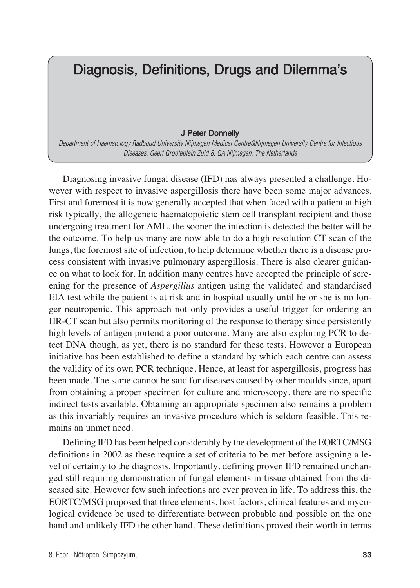## Diagnosis, Definitions, Drugs and Dilemma's

## J Peter Donnelly

*Department of Haematology Radboud University Nijmegen Medical Centre&Nijmegen University Centre for Infectious Diseases, Geert Grooteplein Zuid 8, GA Nijmegen, The Netherlands*

Diagnosing invasive fungal disease (IFD) has always presented a challenge. However with respect to invasive aspergillosis there have been some major advances. First and foremost it is now generally accepted that when faced with a patient at high risk typically, the allogeneic haematopoietic stem cell transplant recipient and those undergoing treatment for AML, the sooner the infection is detected the better will be the outcome. To help us many are now able to do a high resolution CT scan of the lungs, the foremost site of infection, to help determine whether there is a disease process consistent with invasive pulmonary aspergillosis. There is also clearer guidance on what to look for. In addition many centres have accepted the principle of screening for the presence of *Aspergillus* antigen using the validated and standardised EIA test while the patient is at risk and in hospital usually until he or she is no longer neutropenic. This approach not only provides a useful trigger for ordering an HR-CT scan but also permits monitoring of the response to therapy since persistently high levels of antigen portend a poor outcome. Many are also exploring PCR to detect DNA though, as yet, there is no standard for these tests. However a European initiative has been established to define a standard by which each centre can assess the validity of its own PCR technique. Hence, at least for aspergillosis, progress has been made. The same cannot be said for diseases caused by other moulds since, apart from obtaining a proper specimen for culture and microscopy, there are no specific indirect tests available. Obtaining an appropriate specimen also remains a problem as this invariably requires an invasive procedure which is seldom feasible. This remains an unmet need.

Defining IFD has been helped considerably by the development of the EORTC/MSG definitions in 2002 as these require a set of criteria to be met before assigning a level of certainty to the diagnosis. Importantly, defining proven IFD remained unchanged still requiring demonstration of fungal elements in tissue obtained from the diseased site. However few such infections are ever proven in life. To address this, the EORTC/MSG proposed that three elements, host factors, clinical features and mycological evidence be used to differentiate between probable and possible on the one hand and unlikely IFD the other hand. These definitions proved their worth in terms